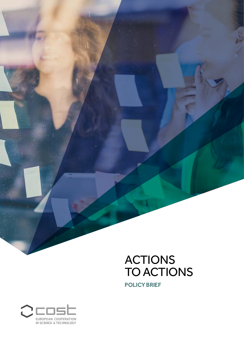

POLICY BRIEF

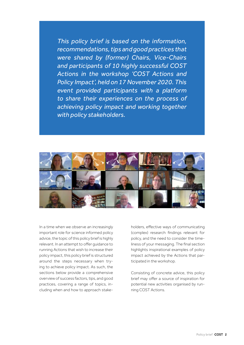*This policy brief is based on the information, recommendations, tips and good practices that were shared by (former) Chairs, Vice-Chairs and participants of 10 highly successful COST Actions in the workshop 'COST Actions and Policy Impact', held on 17 November 2020. This event provided participants with a platform to share their experiences on the process of achieving policy impact and working together with policy stakeholders.*



In a time when we observe an increasingly important role for science informed policy advice, the topic of this policy brief is highly relevant. In an attempt to offer guidance to running Actions that wish to increase their policy impact, this policy brief is structured around the steps necessary when trying to achieve policy impact. As such, the sections below provide a comprehensive overview of success factors, tips, and good practices, covering a range of topics, including when and how to approach stakeholders, effective ways of communicating (complex) research findings relevant for policy, and the need to consider the timeliness of your messaging. The final section highlights inspirational examples of policy impact achieved by the Actions that participated in the workshop.

Consisting of concrete advice, this policy brief may offer a source of inspiration for potential new activities organised by running COST Actions.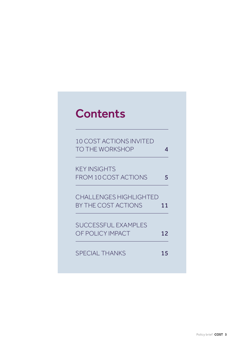## **Contents**

| 10 COST ACTIONS INVITED<br><b>TO THE WORKSHOP</b>    | Δ  |
|------------------------------------------------------|----|
| <b>KEY INSIGHTS</b><br><b>FROM 10 COST ACTIONS</b>   | 5  |
| <b>CHALLENGES HIGHLIGHTED</b><br>BY THE COST ACTIONS | 11 |
| SUCCESSFUL EXAMPLES<br>OF POLICY IMPACT              | 12 |
| <b>SPECIAL THANKS</b>                                | 15 |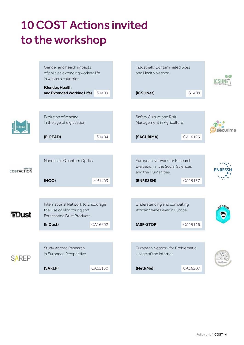# <span id="page-3-0"></span>10 COST Actions invited to the workshop

Gender and health impacts Industrially Contaminated Sites of policies extending working life and Health Network 色点 in western countries (Gender, Health and Extended Working Life)   IS1409   (ICSHNet)   IS1408   Evolution of reading Safety Culture and Risk in the age of digitisation Management in Agriculture E-READ sacurima (E-READ)   IS1404   (SACURIMA)   CA16123   European Network for Research Nanoscale Quantum Optics Evaluation in the Social Sciences COSTACTION and the Humanities (NQO)   MP1403   (ENRESSH)   CA15137   International Network to Encourage Understanding and combating the Use of Monitoring and African Swine Fever in Europe **iaDust** Forecasting Dust Products (InDust)   CA16202   (ASF-STOP)   CA15116   Study Abroad Research European Network for Problematic in European Perspective Usage of the Internet **SAREP** (SAREP)   CA15130   (Net&Me)   CA16207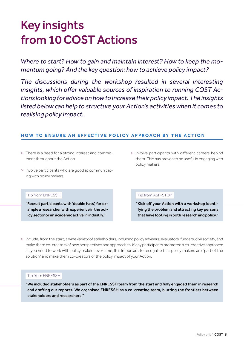## <span id="page-4-0"></span>Key insights from 10 COST Actions

*Where to start? How to gain and maintain interest? How to keep the momentum going? And the key question: how to achieve policy impact?*

*The discussions during the workshop resulted in several interesting insights, which offer valuable sources of inspiration to running COST Actions looking for advice on how to increase their policy impact. The insights listed below can help to structure your Action's activities when it comes to realising policy impact.*

## **HOW TO ENSURE AN EFFECTIVE POLICY APPROACH BY THE ACTION**

- > There is a need for a strong interest and commitment throughout the Action.
- > Involve participants who are good at communicating with policy makers.
- > Involve participants with different careers behind them. This has proven to be useful in engaging with policy makers.

#### [Tip from ENRESSH](https://enressh.eu/)

"Recruit participants with 'double hats', for example a researcher with experience in the policy sector or an academic active in industry."

#### [Tip from ASF-STOP](https://www.asf-stop.com/)

"Kick off your Action with a workshop identifying the problem and attracting key persons that have footing in both research and policy."

> Include, from the start, a wide variety of stakeholders, including policy advisers, evaluators, funders, civil society, and make them co-creators of new perspectives and approaches. Many participants promoted a co-creative approach: as you need to work with policy makers over time, it is important to recognise that policy makers are "part of the solution" and make them co-creators of the policy impact of your Action.

#### [Tip from ENRESSH](https://enressh.eu/)

"We included stakeholders as part of the ENRESSH team from the start and fully engaged them in research and drafting our reports. We organised ENRESSH as a co-creating team, blurring the frontiers between stakeholders and researchers."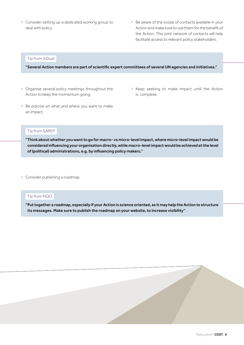- > Consider setting up a dedicated working group to deal with policy.
- > Be aware of the scope of contacts available in your Action and make sure to use them for the benefit of the Action. This joint network of contacts will help facilitate access to relevant policy stakeholders.

#### [Tip from InDust](https://cost-indust.eu/)

"Several Action members are part of scientific expert committees of several UN agencies and initiatives."

- > Organise several policy meetings throughout the Action to keep the momentum going.
- > Keep seeking to make impact until the Action is complete.
- > Be precise on what and where you want to make an impact.

#### [Tip from SAREP](http://sarepcost.eu/)

"Think about whether you want to go for macro- vs micro-level impact, where micro-level impact would be considered influencing your organisation directly, while macro-level impact would be achieved at the level of (political) administrations, e.g. by influencing policy makers."

> Consider publishing a roadmap.

#### [Tip from NQO](https://www.cost-nqo.eu/)

"Put together a roadmap, especially if your Action is science oriented, as it may help the Action to structure its messages. Make sure to publish the roadmap on your website, to increase visibility"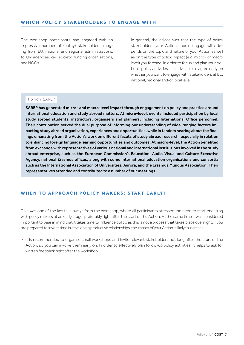The workshop participants had engaged with an impressive number of (policy) stakeholders, ranging from EU, national and regional administrations, to UN agencies, civil society, funding organisations, and NGOs.

In general, the advice was that the type of policy stakeholders your Action should engage with depends on the topic and nature of your Action as well as on the type of policy impact (e.g. micro- or macro level) you foresee. In order to focus and plan your Action's policy activities, it is advisable to agree early on whether you want to engage with stakeholders at EU. national, regional and/or local level.

#### [Tip from SAREP](http://sarepcost.eu/)

SAREP has generated **micro- and macro-level impact** through engagement on policy and practice around international education and study abroad matters. At **micro-level**, events included participation by local study abroad students, instructors, organisers and planners, including International Office personnel. Their contribution served the dual purpose of informing our understanding of wide-ranging factors impacting study abroad organisation, experiences and opportunities, while in tandem hearing about the findings emanating from the Action's work on different facets of study abroad research, especially in relation to enhancing foreign language learning opportunities and outcomes. At **macro-level**, the Action benefited from exchange with representatives of various national and international institutions involved in the study abroad enterprise, such as the European Commission's Education, Audio-Visual and Culture Executive Agency, national Erasmus offices, along with some international education organisations and consortia such as the International Association of Universities, Aurora, and the Erasmus Mundus Association. Their representatives attended and contributed to a number of our meetings.

## WHEN TO APPROACH POLICY MAKERS: START EARLY!

This was one of the key take aways from the workshop, where all participants stressed the need to start engaging with policy makers at an early stage, preferably right after the start of the Action. At the same time it was considered important to bear in mind that it takes time to influence policy, as this is not a process that takes place overnight. If you are prepared to invest time in developing productive relationships, the impact of your Action is likely to increase.

> It is recommended to organise small workshops and invite relevant stakeholders not long after the start of the Action, so you can involve them early on. In order to effectively plan follow-up policy activities, it helps to ask for written feedback right after the workshop.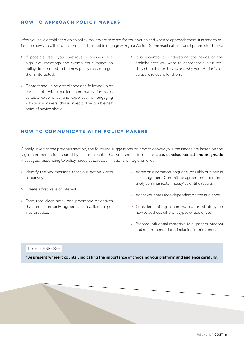## **HOW TO APPROACH POLICY MAKERS**

After you have established which policy makers are relevant for your Action and when to approach them, it is time to reflect on how you will convince them of the need to engage with your Action. Some practical hints and tips are listed below:

- > If possible, 'sell' your previous successes (e.g. high-level meetings and events, your impact on policy documents) to the new policy maker to get them interested.
- > Contact should be established and followed up by participants with excellent communication skills, suitable experience and expertise for engaging with policy makers (this is linked to the 'double hat' point of advice above).
- > It is essential to understand the needs of the stakeholders you want to approach: explain why they should listen to you and why your Action's results are relevant for them.

### **HOW TO COMMUNICATE WITH POLICY MAKERS**

Closely linked to the previous section, the following suggestions on how to convey your messages are based on the key recommendation, shared by all participants, that you should formulate clear, concise, honest and pragmatic messages, responding to policy needs at European, national or regional level:

- > Identify the key message that your Action wants to convey.
- > Create a first wave of interest.
- > Formulate clear, small and pragmatic objectives that are commonly agreed and feasible to put into practice.
- > Agree on a common language (possibly outlined in a 'Management Committee agreement') to effectively communicate 'messy' scientific results.
- > Adapt your message depending on the audience.
- > Consider drafting a communication strategy on how to address different types of audiences.
- > Prepare influential materials (e.g. papers, videos) and recommendations, including interim ones.

#### [Tip from ENRESSH](https://enressh.eu/)

"Be present where it counts", indicating the importance of choosing your platform and audience carefully.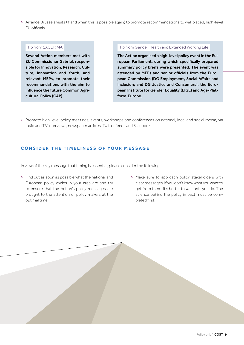> Arrange Brussels visits (if and when this is possible again) to promote recommendations to well placed, high-level EU officials.

#### [Tip from SACURIMA](https://www.sacurima.eu/)

Several Action members met with EU Commissioner Gabriel, responsible for Innovation, Research, Culture, Innovation and Youth, and relevant MEPs, to promote their recommendations with the aim to influence the future Common Agricultural Policy (CAP).

#### [Tip from Gender, Health and Extended Working Life](http://genderewl.com/)

The Action organised a high-level policy event in the European Parliament, during which specifically prepared summary policy briefs were presented. The event was attended by MEPs and senior officials from the European Commission (DG Employment, Social Affairs and Inclusion; and DG Justice and Consumers), the European Institute for Gender Equality (EIGE) and Age-Platform Europe.

> Promote high-level policy meetings, events, workshops and conferences on national, local and social media, via radio and TV interviews, newspaper articles, Twitter feeds and Facebook.

## **CONSIDER THE TIMELINESS OF YOUR MESSAGE**

In view of the key message that timing is essential, please consider the following:

- > Find out as soon as possible what the national and European policy cycles in your area are and try to ensure that the Action's policy messages are brought to the attention of policy makers at the optimal time.
- > Make sure to approach policy stakeholders with clear messages. If you don't know what you want to get from them, it's better to wait until you do. The science behind the policy impact must be completed first.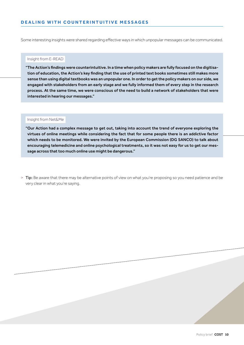Some interesting insights were shared regarding effective ways in which unpopular messages can be communicated.

#### [Insight from E-READ](https://ereadcost.eu/)

"The Action's findings were counterintuitive. In a time when policy makers are fully focused on the digitisation of education, the Action's key finding that the use of printed text books sometimes still makes more sense than using digital textbooks was an unpopular one. In order to get the policy makers on our side, we engaged with stakeholders from an early stage and we fully informed them of every step in the research process. At the same time, we were conscious of the need to build a network of stakeholders that were interested in hearing our messages."

#### [Insight from Net&Me](https://www.cost.eu/actions/CA16207/#tabs|Name:overview)

"Our Action had a complex message to get out, taking into account the trend of everyone exploring the virtues of online meetings while considering the fact that for some people there is an addictive factor which needs to be monitored. We were invited by the European Commission (DG SANCO) to talk about encouraging telemedicine and online psychological treatments, so it was not easy for us to get our message across that too much online use might be dangerous."

> Tip: Be aware that there may be alternative points of view on what you're proposing so you need patience and be very clear in what you're saying.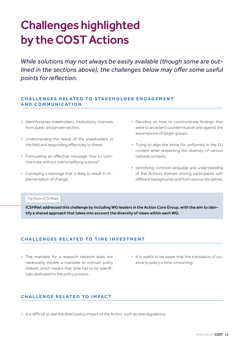## <span id="page-10-0"></span>Challenges highlighted by the COST Actions

*While solutions may not always be easily available (though some are outlined in the sections above), the challenges below may offer some useful points for reflection.*

## **CHALLENGES RELATED TO STAKEHOLDER ENGAGEMENT A N D CO M M U N I C AT I O N**

- > Identifying key stakeholders, institutions, channels from public and private sectors.
- > Understanding the needs of the stakeholders in the field and responding effectively to these.
- > Formulating an effective message: how to communicate without oversimplifying science?
- > Conveying a message that is likely to result in implementation of change.
- > Deciding on how to communicate findings that were to an extent counterintuitive and against the assumptions of target groups.
- > Trying to align the strive for uniformity in the EU context while respecting the diversity of various national contexts.
- > Identifying common language and understanding of the Action's themes among participants with different backgrounds and from various disciplines.

#### [Tip from ICSHNet](https://www.icshnet.eu/#:~:text=COST%2520Action%2520IS1408%2520is%2520centred,or%2520managing%2520remediation%2520and%2520response.)

ICSHNet addressed this challenge by including WG leaders in the Action Core Group, with the aim to identify a shared approach that takes into account the diversity of views within each WG.

## **CHALLENGES RELATED TO TIME INVESTMENT**

- > The mandate for a research network does not necessarily involve a mandate to instruct policy makers, which means that time has to be specifically dedicated to the policy process.
- > It is useful to be aware that the translation of science to policy is time consuming.

## **CHALLENGE RELATED TO IMPACT**

> It is difficult to see the direct policy impact of the Action, such as new regulations.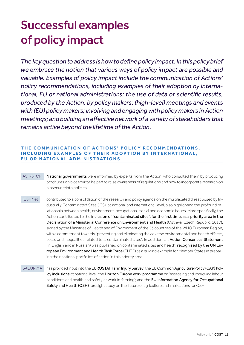# <span id="page-11-0"></span>Successful examples of policy impact

*The key question to address is how to define policy impact. In this policy brief we embrace the notion that various ways of policy impact are possible and valuable. Examples of policy impact include the communication of Actions' policy recommendations, including examples of their adoption by international, EU or national administrations; the use of data or scientific results, produced by the Action, by policy makers; (high-level) meetings and events with (EU) policy makers; involving and engaging with policy makers in Action meetings; and building an effective network of a variety of stakeholders that remains active beyond the lifetime of the Action.*

## **THE COMMUNICATION OF ACTIONS' POLICY RECOMMENDATIONS, INCLUDING EXAMPLES OF THEIR ADOPTION BY INTERNATIONAL, EU OR NATIONAL ADMINISTRATIONS**

- ASF-STOP: National governments were informed by experts from the Action, who consulted them by producing brochures on biosecurity, helped to raise awareness of regulations and how to incorporate research on biosecurityinto policies.
- ICSHNet contributed to a consolidation of the research and policy agenda on the multifaceted threat posed by Industrially Contaminated Sites (ICS), at national and international level, also highlighting the profound relationship between health, environment, occupational, social and economic issues. More specifically, the Action contributed to the inclusion of "contaminated sites", for the first time, as a priority area in the Declaration of a Ministerial Conference on Environment and Health (Ostrava, Czech Republic, 2017), signed by the Ministries of Health and of Environment of the 53 countries of the WHO European Region, with a commitment towards "preventing and eliminating the adverse environmental and health effects, costs and inequalities related to ... contaminated sites". In addition, an Action Consensus Statement (in English and in Russian) was published on contaminated sites and health, recognised by the UN European Environment and Health Task Force (EHTF) as a quiding example for Member States in preparing their national portfolios of action in this priority area.
- SACURIMA *has provided input into the EUROSTAT Farm Injury Survey*; the EU Common Agriculture Policy (CAP) Policy inclusions at national level; the Horizon Europe work programme on 'assessing and improving labour conditions and health and safety at work in farming'; and the EU Information Agency for Occupational Safety and Health (OSH) foresight study on the 'future of agriculture and implications for OSH'.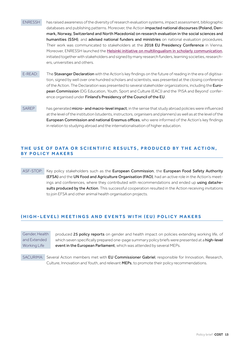- [ENRESSH](https://enressh.eu/) has raised awareness of the diversity of research evaluation systems, impact assessment, bibliographic databases and publishing patterns. Moreover, the Action impacted national discourses (Poland, Denmark, Norway, Switzerland and North Macedonia) on research evaluation in the social sciences and humanities (SSH), and advised national funders and ministries on national evaluation procedures. Their work was communicated to stakeholders at the 2018 EU Presidency Conference in Vienna. Moreover, ENRESSH launched the [Helsinki initiative on multilingualism in scholarly communication](https://www.helsinki-initiative.org/), initiated together with stakeholders and signed by many research funders, learning societies, researchers, universities and others.
- E-READ: The Stavanger Declaration with the Action's key findings on the future of reading in the era of digitisation, signed by well over one hundred scholars and scientists, was presented at the closing conference of the Action. The Declaration was presented to several stakeholder organizations, including the European Commission (DG Education, Youth, Sport and Culture (EAC)) and the 'PISA and Beyond' conference organised under Finland's Presidency of the Council of the EU.
- SAREP has generated micro- and macro-level impact, in the sense that study abroad policies were influenced at the level of the institution (students, instructors, organisers and planners) as well as at the level of the European Commission and national Erasmus offices, who were informed of the Action's key findings in relation to studying abroad and the internationalisation of higher education.

## THE USE OF DATA OR SCIENTIFIC RESULTS, PRODUCED BY THE ACTION, **BY POLICY MAKERS**

ASF-STOP: Key policy stakeholders such as the European Commission, the European Food Safety Authority (EFSA) and the UN Food and Agriculture Organisation (FAO), had an active role in the Action's meetings and conferences, where they contributed with recommendations and ended up using data/results produced by the Action. This successful cooperation resulted in the Action receiving invitations to join EFSA and other animal health organisation projects.

## **(HIGH-LEVEL) MEETINGS AND EVENTS WITH (EU) POLICY MAKERS**

Gender, Health and Extended Working Life  

produced 25 policy reports on gender and health impact on policies extending working life, of which seven specifically prepared one-page summary policy briefs were presented at a high-level event in the European Parliament, which was attended by several MEPs.

SACURIMA: Several Action members met with EU Commissioner Gabriel, responsible for Innovation, Research, Culture, Innovation and Youth, and relevant MEPs, to promote their policy recommendations.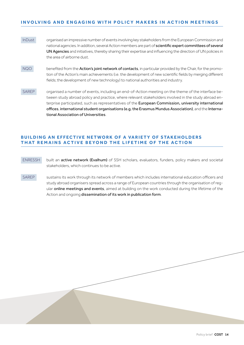## **INVOLVING AND ENGAGING WITH POLICY MAKERS IN ACTION MEETINGS**

- [InDust](https://cost-indust.eu/) organised an impressive number of events involving key stakeholders from the European Commission and national agencies. In addition, several Action members are part of scientific expert committees of several UN Agencies and initiatives, thereby sharing their expertise and influencing the direction of UN policies in the area of airborne dust.
- NQO*benefited from the Action's joint network of contacts, in particular provided by the Chair, for the promo*tion of the Action's main achievements (i.e. the development of new scientific fields by merging different fields; the development of new technology) to national authorities and industry.
- SAREP organised a number of events, including an end-of-Action meeting on the theme of the interface between study abroad policy and practice, where relevant stakeholders involved in the study abroad enterprise participated, such as representatives of the European Commission, university international offices, international student organisations (e.g. the Erasmus Mundus Association), and the International Association of Universities.

## **BUILDING AN EFFECTIVE NETWORK OF A VARIETY OF STAKEHOLDERS THAT REMAINS ACTIVE BEYOND THE LIFETIME OF THE ACTION**

- ENRESSH **built an active network (Evalhum)** of SSH scholars, evaluators, funders, policy makers and societal stakeholders, which continues to be active.
- SAREP sustains its work through its network of members which includes international education officers and study abroad organisers spread across a range of European countries through the organisation of regular online meetings and events, aimed at building on the work conducted during the lifetime of the Action and ongoing dissemination of its work in publication form.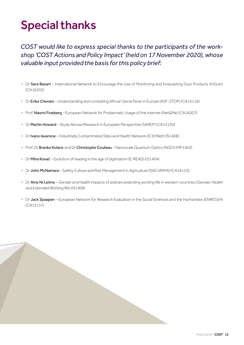## <span id="page-14-0"></span>Special thanks

*COST would like to express special thanks to the participants of the workshop 'COST Actions and Policy Impact' (held on 17 November 2020), whose valuable input provided the basis for this policy brief:* 

- > Dr Sara Basart International Network to Encourage the Use of Monitoring and Forecasting Dust Products (InDust) (CA16202)
- > Dr Erika Chenais Understanding and combating African Swine Fever in Europe (ASF-STOP) (CA15116)
- > Prof. Naomi Fineberg European Network for Problematic Usage of the Internet (Net&Me) (CA16207)
- > Dr Martin Howard Study Abroad Research in European Perspective (SAREP) (CA15130)
- > Dr Ivano Iavarone Industrially Contaminated Sites and Health Network (ICSHNet) (IS1408)
- > Prof. Dr Branko Kolaric and Dr Christophe Couteau Nanoscale Quantum Optics (NQO) (MP1403)
- > Dr Miha Kovač Evolution of reading in the age of digitisation (E-READ) (IS1404)
- > Dr John McNamara Safety Culture and Risk Management in Agriculture (SACURIMA) (CA16123)
- > Dr Aine Ni Leime Gender and health impacts of policies extending working life in western countries (Gender, Health and Extended Working life) (IS1409)
- > Dr Jack Spaapen European Network for Research Evaluation in the Social Sciences and the Humanities (ENRESSH) (CA15137)